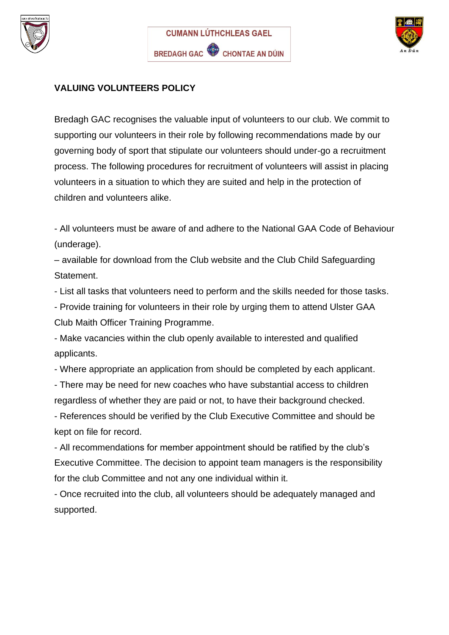





## **VALUING VOLUNTEERS POLICY**

Bredagh GAC recognises the valuable input of volunteers to our club. We commit to supporting our volunteers in their role by following recommendations made by our governing body of sport that stipulate our volunteers should under-go a recruitment process. The following procedures for recruitment of volunteers will assist in placing volunteers in a situation to which they are suited and help in the protection of children and volunteers alike.

- All volunteers must be aware of and adhere to the National GAA Code of Behaviour (underage).

– available for download from the Club website and the Club Child Safeguarding Statement.

- List all tasks that volunteers need to perform and the skills needed for those tasks.

- Provide training for volunteers in their role by urging them to attend Ulster GAA Club Maith Officer Training Programme.

- Make vacancies within the club openly available to interested and qualified applicants.

- Where appropriate an application from should be completed by each applicant.

- There may be need for new coaches who have substantial access to children regardless of whether they are paid or not, to have their background checked.

- References should be verified by the Club Executive Committee and should be kept on file for record.

- All recommendations for member appointment should be ratified by the club's Executive Committee. The decision to appoint team managers is the responsibility for the club Committee and not any one individual within it.

- Once recruited into the club, all volunteers should be adequately managed and supported.